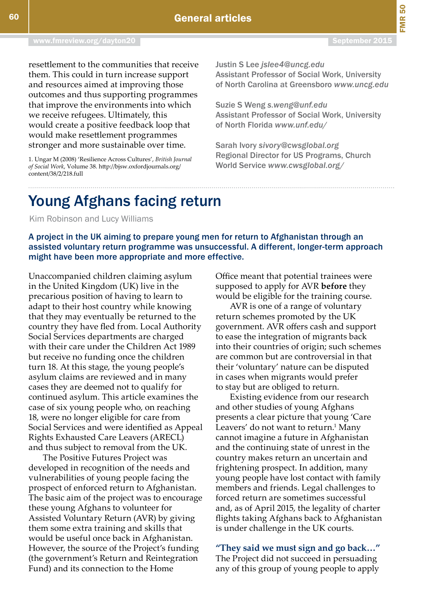## Young Afghans facing return

Kim Robinson and Lucy Williams

## A project in the UK aiming to prepare young men for return to Afghanistan through an assisted voluntary return programme was unsuccessful. A different, longer-term approach might have been more appropriate and more effective.

Unaccompanied children claiming asylum in the United Kingdom (UK) live in the precarious position of having to learn to adapt to their host country while knowing that they may eventually be returned to the country they have fled from. Local Authority Social Services departments are charged with their care under the Children Act 1989 but receive no funding once the children turn 18. At this stage, the young people's asylum claims are reviewed and in many cases they are deemed not to qualify for continued asylum. This article examines the case of six young people who, on reaching 18, were no longer eligible for care from Social Services and were identified as Appeal Rights Exhausted Care Leavers (ARECL) and thus subject to removal from the UK.

The Positive Futures Project was developed in recognition of the needs and vulnerabilities of young people facing the prospect of enforced return to Afghanistan. The basic aim of the project was to encourage these young Afghans to volunteer for Assisted Voluntary Return (AVR) by giving them some extra training and skills that would be useful once back in Afghanistan. However, the source of the Project's funding (the government's Return and Reintegration Fund) and its connection to the Home

Office meant that potential trainees were supposed to apply for AVR **before** they would be eligible for the training course.

AVR is one of a range of voluntary return schemes promoted by the UK government. AVR offers cash and support to ease the integration of migrants back into their countries of origin; such schemes are common but are controversial in that their 'voluntary' nature can be disputed in cases when migrants would prefer to stay but are obliged to return.

Existing evidence from our research and other studies of young Afghans presents a clear picture that young 'Care Leavers' do not want to return.<sup>1</sup> Many cannot imagine a future in Afghanistan and the continuing state of unrest in the country makes return an uncertain and frightening prospect. In addition, many young people have lost contact with family members and friends. Legal challenges to forced return are sometimes successful and, as of April 2015, the legality of charter flights taking Afghans back to Afghanistan is under challenge in the UK courts.

**"They said we must sign and go back…"** The Project did not succeed in persuading any of this group of young people to apply